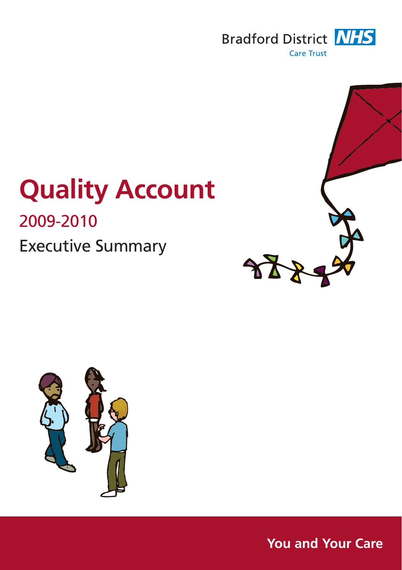

# **Quality Account**  2009-2010 Executive Summary





**You and Your Care**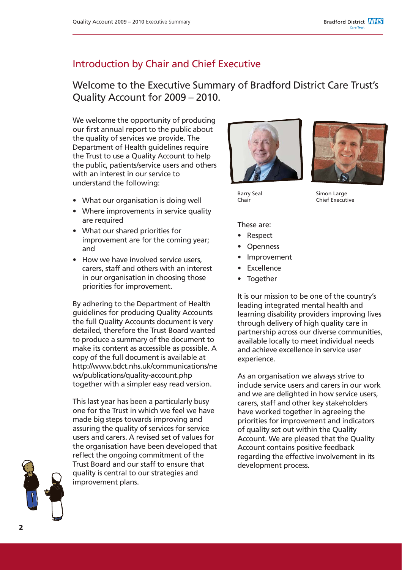### Introduction by Chair and Chief Executive

### Welcome to the Executive Summary of Bradford District Care Trust's Quality Account for 2009 – 2010.

We welcome the opportunity of producing our first annual report to the public about the quality of services we provide. The Department of Health guidelines require the Trust to use a Quality Account to help the public, patients/service users and others with an interest in our service to understand the following:

- What our organisation is doing well
- Where improvements in service quality are required
- What our shared priorities for improvement are for the coming year; and
- How we have involved service users. carers, staff and others with an interest in our organisation in choosing those priorities for improvement.

By adhering to the Department of Health guidelines for producing Quality Accounts the full Quality Accounts document is very detailed, therefore the Trust Board wanted to produce a summary of the document to make its content as accessible as possible. A copy of the full document is available at http://www.bdct.nhs.uk/communications/ne ws/publications/quality-account.php together with a simpler easy read version.

This last year has been a particularly busy one for the Trust in which we feel we have made big steps towards improving and assuring the quality of services for service users and carers. A revised set of values for the organisation have been developed that reflect the ongoing commitment of the Trust Board and our staff to ensure that quality is central to our strategies and improvement plans.





Barry Seal Chair

Simon Large Chief Executive

These are:

- Respect
- **Openness**
- **Improvement**
- **Excellence**
- **Together**

It is our mission to be one of the country's leading integrated mental health and learning disability providers improving lives through delivery of high quality care in partnership across our diverse communities, available locally to meet individual needs and achieve excellence in service user experience.

As an organisation we always strive to include service users and carers in our work and we are delighted in how service users, carers, staff and other key stakeholders have worked together in agreeing the priorities for improvement and indicators of quality set out within the Quality Account. We are pleased that the Quality Account contains positive feedback regarding the effective involvement in its development process.

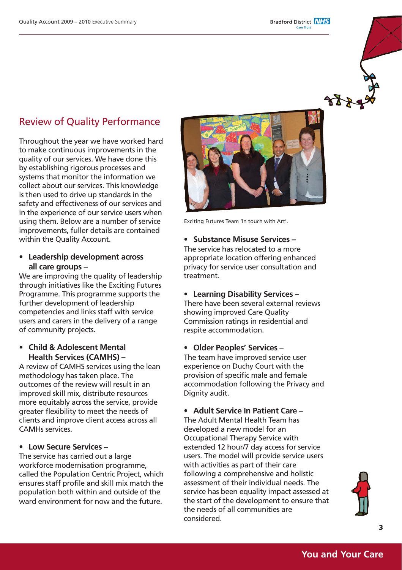**Bradford District NHS** 

### Review of Quality Performance

Throughout the year we have worked hard to make continuous improvements in the quality of our services. We have done this by establishing rigorous processes and systems that monitor the information we collect about our services. This knowledge is then used to drive up standards in the safety and effectiveness of our services and in the experience of our service users when using them. Below are a number of service improvements, fuller details are contained within the Quality Account.

**• Leadership development across all care groups –** 

We are improving the quality of leadership through initiatives like the Exciting Futures Programme. This programme supports the further development of leadership competencies and links staff with service users and carers in the delivery of a range of community projects.

**• Child & Adolescent Mental Health Services (CAMHS) –**

A review of CAMHS services using the lean methodology has taken place. The outcomes of the review will result in an improved skill mix, distribute resources more equitably across the service, provide greater flexibility to meet the needs of clients and improve client access across all CAMHs services.

### **• Low Secure Services –**

The service has carried out a large workforce modernisation programme, called the Population Centric Project, which ensures staff profile and skill mix match the population both within and outside of the ward environment for now and the future.



Exciting Futures Team 'In touch with Art'.

**• Substance Misuse Services –** The service has relocated to a more appropriate location offering enhanced privacy for service user consultation and treatment.

**• Learning Disability Services –** There have been several external reviews showing improved Care Quality Commission ratings in residential and respite accommodation.

**• Older Peoples' Services –**

The team have improved service user experience on Duchy Court with the provision of specific male and female accommodation following the Privacy and Dignity audit.

### **• Adult Service In Patient Care –**

The Adult Mental Health Team has developed a new model for an Occupational Therapy Service with extended 12 hour/7 day access for service users. The model will provide service users with activities as part of their care following a comprehensive and holistic assessment of their individual needs. The service has been equality impact assessed at the start of the development to ensure that the needs of all communities are considered.

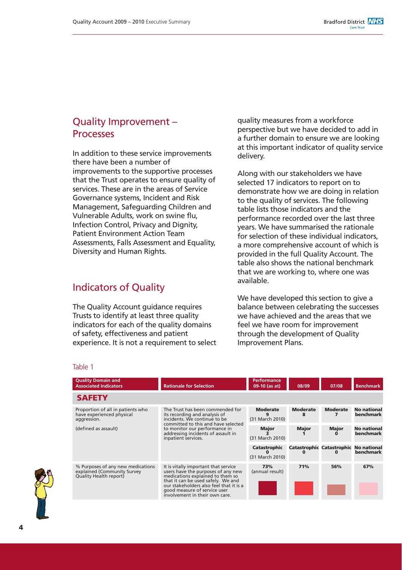### Quality Improvement – Processes

In addition to these service improvements there have been a number of improvements to the supportive processes that the Trust operates to ensure quality of services. These are in the areas of Service Governance systems, Incident and Risk Management, Safeguarding Children and Vulnerable Adults, work on swine flu, Infection Control, Privacy and Dignity, Patient Environment Action Team Assessments, Falls Assessment and Equality, Diversity and Human Rights.

### Indicators of Quality

The Quality Account guidance requires Trusts to identify at least three quality indicators for each of the quality domains of safety, effectiveness and patient experience. It is not a requirement to select quality measures from a workforce perspective but we have decided to add in a further domain to ensure we are looking at this important indicator of quality service delivery.

Along with our stakeholders we have selected 17 indicators to report on to demonstrate how we are doing in relation to the quality of services. The following table lists those indicators and the performance recorded over the last three years. We have summarised the rationale for selection of these individual indicators, a more comprehensive account of which is provided in the full Quality Account. The table also shows the national benchmark that we are working to, where one was available.

We have developed this section to give a balance between celebrating the successes we have achieved and the areas that we feel we have room for improvement through the development of Quality Improvement Plans.

#### Table 1

| <b>Quality Domain and</b><br><b>Associated Indicators</b>                                  | <b>Rationale for Selection</b>                                                                                                                                                                                                                                    | <b>Performance</b><br>09-10 (as at) | 08/09                | 07/08                                             | <b>Benchmark</b>                       |
|--------------------------------------------------------------------------------------------|-------------------------------------------------------------------------------------------------------------------------------------------------------------------------------------------------------------------------------------------------------------------|-------------------------------------|----------------------|---------------------------------------------------|----------------------------------------|
| <b>SAFETY</b>                                                                              |                                                                                                                                                                                                                                                                   |                                     |                      |                                                   |                                        |
| Proportion of all in patients who<br>have experienced physical<br>aggression.              | The Trust has been commended for<br>its recording and analysis of<br>incidents. We continue to be<br>committed to this and have selected<br>to monitor our performance in<br>addressing incidents of assault in<br>inpatient services.                            | <b>Moderate</b><br>(31 March 2010)  | <b>Moderate</b><br>8 | <b>Moderate</b>                                   | <b>No national</b><br><b>benchmark</b> |
| (defined as assault)                                                                       |                                                                                                                                                                                                                                                                   | <b>Major</b><br>(31 March 2010)     | <b>Major</b>         | <b>Major</b>                                      | <b>No national</b><br>benchmark        |
|                                                                                            |                                                                                                                                                                                                                                                                   | Catastrophic<br>(31 March 2010)     | n                    | Catastrophic Catastrophic No national<br>$\Omega$ | <b>benchmark</b>                       |
| % Purposes of any new medications<br>explained (Community Survey<br>Quality Health report) | It is vitally important that service<br>users have the purposes of any new<br>medications explained to them so<br>that it can be used safely. We and<br>our stakeholders also feel that it is a<br>good measure of service user<br>involvement in their own care. | 73%<br>(annual result)              | 71%                  | 56%                                               | 67%                                    |

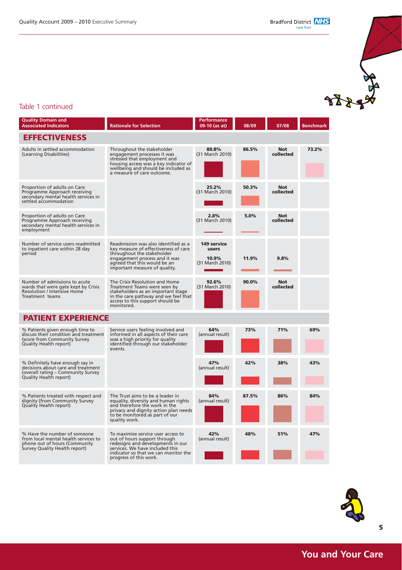$X$ 

### Table 1 continued

| <b>Quality Domain and</b><br><b>Associated Indicators</b>                                                                              | Rationale for Selection                                                                                                                                                                                      | Performance<br>09-10 (as at) | 08/09 | 07/08                   | <b>Benchmark</b> |
|----------------------------------------------------------------------------------------------------------------------------------------|--------------------------------------------------------------------------------------------------------------------------------------------------------------------------------------------------------------|------------------------------|-------|-------------------------|------------------|
| <b>EFFECTIVENESS</b>                                                                                                                   |                                                                                                                                                                                                              |                              |       |                         |                  |
| Adults in settled accommodation<br>(Learning Disabilities)                                                                             | Throughout the stakeholder<br>engagement processes it was<br>stressed that employment and<br>housing access was a key indicator of<br>wellbeing and should be included as<br>a measure of care outcome.      | 80.8%<br>(31 March 2010)     | 86.5% | <b>Not</b><br>collected | 73.2%            |
| Proportion of adults on Care<br>Programme Approach receiving<br>secondary mental health services in<br>settled accommodation           |                                                                                                                                                                                                              | 25.2%<br>(31 March 2010)     | 50.3% | <b>Not</b><br>collected |                  |
| Proportion of adults on Care<br>Programme Approach receiving<br>secondary mental health services in<br>employment                      |                                                                                                                                                                                                              | 2.8%<br>(31 March 2010)      | 5.0%  | <b>Not</b><br>collected |                  |
| Number of service users readmitted<br>to inpatient care within 28 day                                                                  | Readmission was also identified as a<br>key measure of effectiveness of care                                                                                                                                 | <b>149 service</b><br>users  |       |                         |                  |
| period                                                                                                                                 | throughout the stakeholder<br>engagement process and it was<br>agreed that this would be an<br>important measure of quality.                                                                                 | 10.9%<br>(31 March 2010)     | 11.9% | 9.8%                    |                  |
| Number of admissions to acute<br>wards that were gate kept by Crisis<br><b>Resolution / Intensive Home</b><br>Treatment teams          | The Crisis Resolution and Home<br>Treatment Teams were seen by<br>stakeholders as an important stage<br>in the care pathway and we feel that<br>access to this support should be<br>monitored.               | 92.6%<br>(31 March 2010)     | 90.0% | <b>Not</b><br>collected |                  |
| <b>PATIENT EXPERIENCE</b>                                                                                                              |                                                                                                                                                                                                              |                              |       |                         |                  |
| % Patients given enough time to<br>discuss their condition and treatment<br>(score from Community Survey<br>Quality Health report)     | Service users feeling involved and<br>informed in all aspects of their care<br>was a high priority for quality<br>identified through our stakeholder<br>events.                                              | 64%<br>(annual result)       | 73%   | 71%                     | 69%              |
| % Definitely have enough say in<br>decisions about care and treatment<br>(overall rating - Community Survey<br>Quality Health report)  |                                                                                                                                                                                                              | 47%<br>(annual result)       | 42%   | 38%                     | 43%              |
| % Patients treated with respect and<br>dignity (from Community Survey<br>Quality Health report)                                        | The Trust aims to be a leader in<br>equality, diversity and human rights<br>and therefore the work in the<br>privacy and dignity action plan needs<br>to be monitored as part of our<br>quality work.        | 84%<br>(annual result)       | 87.5% | 86%                     | 84%              |
| % Have the number of someone<br>from local mental health services to<br>phone out of hours (Community<br>Survey Quality Health report) | To maximise service user access to<br>out of hours support through<br>redesigns and developments in our<br>services. We have included this<br>indicator so that we can monitor the<br>progress of this work. | 42%<br>(annual result)       | 48%   | 51%                     | 47%              |

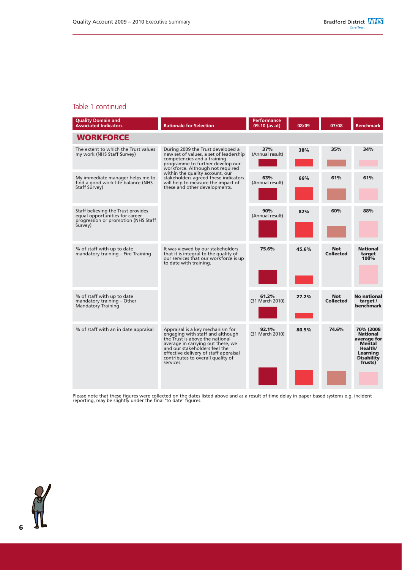#### Table 1 continued

| <b>Quality Domain and</b><br><b>Associated Indicators</b>                                                              | <b>Rationale for Selection</b>                                                                                                                                                                                                                                                                                                       | Performance<br>09-10 (as at) | 08/09 | 07/08                          | <b>Benchmark</b>                                                                                                           |
|------------------------------------------------------------------------------------------------------------------------|--------------------------------------------------------------------------------------------------------------------------------------------------------------------------------------------------------------------------------------------------------------------------------------------------------------------------------------|------------------------------|-------|--------------------------------|----------------------------------------------------------------------------------------------------------------------------|
| <b>WORKFORCE</b>                                                                                                       |                                                                                                                                                                                                                                                                                                                                      |                              |       |                                |                                                                                                                            |
| The extent to which the Trust values<br>my work (NHS Staff Survey)                                                     | During 2009 the Trust developed a<br>new set of values, a set of leadership<br>competencies and a training<br>programme to further develop our<br>workforce. Although not required<br>within the quality account, our<br>stakeholders agreed these indicators<br>will help to measure the impact of<br>these and other developments. | 37%<br>(Annual result)       | 38%   | 35%                            | 34%                                                                                                                        |
| My immediate manager helps me to<br>find a good work life balance (NHS<br>Staff Survey)                                |                                                                                                                                                                                                                                                                                                                                      | 63%<br>(Annual result)       | 66%   | 61%                            | 61%                                                                                                                        |
| Staff believing the Trust provides<br>equal opportunities for career<br>progression or promotion (NHS Staff<br>Survey) |                                                                                                                                                                                                                                                                                                                                      | 90%<br>(Annual result)       | 82%   | 60%                            | 88%                                                                                                                        |
| % of staff with up to date<br>mandatory training - Fire Training                                                       | It was viewed by our stakeholders<br>that it is integral to the quality of<br>our services that our workforce is up<br>to date with training.                                                                                                                                                                                        | 75.6%                        | 45.6% | <b>Not</b><br><b>Collected</b> | <b>National</b><br>target<br>100%                                                                                          |
| % of staff with up to date<br>mandatory training - Other<br><b>Mandatory Training</b>                                  |                                                                                                                                                                                                                                                                                                                                      | 61.2%<br>(31 March 2010)     | 27.2% | <b>Not</b><br><b>Collected</b> | <b>No national</b><br>target /<br>benchmark                                                                                |
| % of staff with an in date appraisal                                                                                   | Appraisal is a key mechanism for<br>engaging with staff and although<br>the Trust is above the national<br>average in carrying out these, we<br>and our stakeholders feel the<br>effective delivery of staff appraisal<br>contributes to overall quality of<br>services.                                                             | 92.1%<br>(31 March 2010)     | 80.5% | 74.6%                          | 70% (2008<br><b>National</b><br>average for<br><b>Mental</b><br>Health/<br><b>Learning</b><br><b>Disability</b><br>Trusts) |

Please note that these figures were collected on the dates listed above and as a result of time delay in paper based systems e.g. incident reporting, may be slightly under the final 'to date' figures.



**6**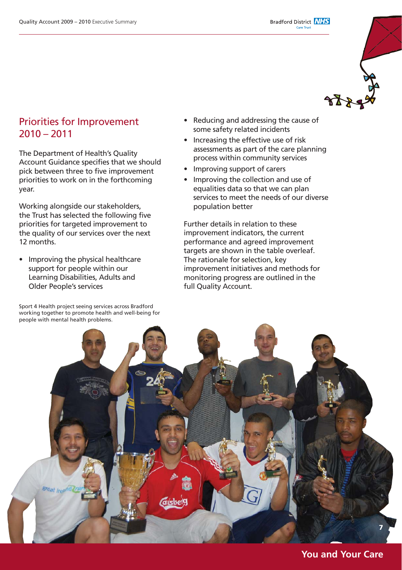### Priorities for Improvement  $2010 - 2011$

The Department of Health's Quality Account Guidance specifies that we should pick between three to five improvement priorities to work on in the forthcoming year.

Working alongside our stakeholders, the Trust has selected the following five priorities for targeted improvement to the quality of our services over the next 12 months.

• Improving the physical healthcare support for people within our Learning Disabilities, Adults and Older People's services

Sport 4 Health project seeing services across Bradford working together to promote health and well-being for people with mental health problems.

- Reducing and addressing the cause of some safety related incidents
- Increasing the effective use of risk assessments as part of the care planning process within community services
- Improving support of carers
- Improving the collection and use of equalities data so that we can plan services to meet the needs of our diverse population better

Further details in relation to these improvement indicators, the current performance and agreed improvement targets are shown in the table overleaf. The rationale for selection, key improvement initiatives and methods for monitoring progress are outlined in the full Quality Account.



### **You and Your Care**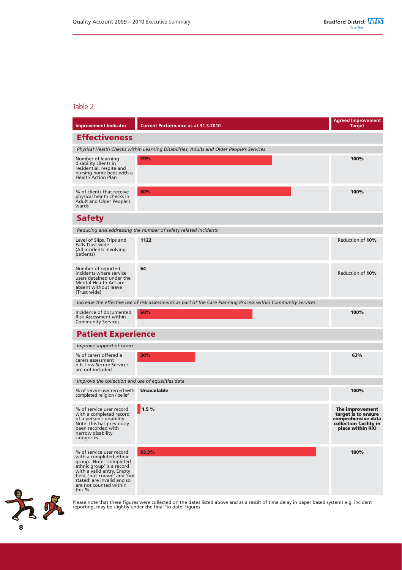#### Table 2

| <b>Improvement Indicator</b>                                                                                                                                                                                                              | <b>Current Performance as at 31.3.2010</b>                                                                     | <b>Agreed Improvement</b><br>Target                                                                        |  |  |  |
|-------------------------------------------------------------------------------------------------------------------------------------------------------------------------------------------------------------------------------------------|----------------------------------------------------------------------------------------------------------------|------------------------------------------------------------------------------------------------------------|--|--|--|
| <b>Effectiveness</b>                                                                                                                                                                                                                      |                                                                                                                |                                                                                                            |  |  |  |
| Physical Health Checks within Learning Disabilities, Adults and Older People's Services                                                                                                                                                   |                                                                                                                |                                                                                                            |  |  |  |
| Number of learning<br>disability clients in<br>residential, respite and<br>nursing home beds with a<br><b>Health Action Plan</b>                                                                                                          | 70%                                                                                                            | 100%                                                                                                       |  |  |  |
| % of clients that receive<br>physical health checks in<br>Adult and Older People's<br>wards                                                                                                                                               | 80%                                                                                                            | 100%                                                                                                       |  |  |  |
| <b>Safety</b>                                                                                                                                                                                                                             |                                                                                                                |                                                                                                            |  |  |  |
|                                                                                                                                                                                                                                           | Reducing and addressing the number of safety related incidents                                                 |                                                                                                            |  |  |  |
| Level of Slips, Trips and<br>Falls Trust wide<br>(All incidents involving<br>patients)                                                                                                                                                    | 1122                                                                                                           | Reduction of 10%                                                                                           |  |  |  |
| Number of reported<br>incidents where service<br>users detained under the<br>Mental Health Act are<br>absent without leave<br>(Trust wide)                                                                                                | 64                                                                                                             | Reduction of 10%                                                                                           |  |  |  |
|                                                                                                                                                                                                                                           | Increase the effective use of risk assessments as part of the Care Planning Process within Community Services. |                                                                                                            |  |  |  |
| Incidence of documented<br>Risk Assessment within<br><b>Community Services</b>                                                                                                                                                            | 60%                                                                                                            | 100%                                                                                                       |  |  |  |
| <b>Patient Experience</b>                                                                                                                                                                                                                 |                                                                                                                |                                                                                                            |  |  |  |
| Improve support of carers                                                                                                                                                                                                                 |                                                                                                                |                                                                                                            |  |  |  |
| % of carers offered a<br>carers assessment<br>n.b. Low Secure Services<br>are not included                                                                                                                                                | 30%                                                                                                            | 63%                                                                                                        |  |  |  |
| Improve the collection and use of equalities data                                                                                                                                                                                         |                                                                                                                |                                                                                                            |  |  |  |
| % of service user record with<br>completed religion / belief                                                                                                                                                                              | <b>Unavailable</b>                                                                                             | 100%                                                                                                       |  |  |  |
| % of service user record<br>with a completed record<br>of a person's disability<br>Note: this has previously<br>been recorded with<br>narrow disability<br>categories                                                                     | 1.5%                                                                                                           | The improvement<br>target is to ensure<br>comprehensive data<br>collection facility in<br>place within RiO |  |  |  |
| % of service user record<br>with a completed ethnic<br>group. Note: 'completed<br>ethnic group' is a record<br>with a valid entry. Empty<br>field, 'not known' and 'not<br>stated' are invalid and so<br>are not counted within<br>this % | 93.3%                                                                                                          | 100%                                                                                                       |  |  |  |



Please note that these figures were collected on the dates listed above and as a result of time delay in paper based systems e.g. incident reporting, may be slightly under the final 'to date' figures.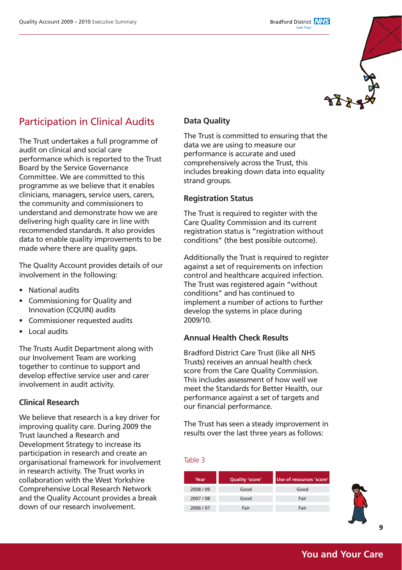

### Participation in Clinical Audits

The Trust undertakes a full programme of audit on clinical and social care performance which is reported to the Trust Board by the Service Governance Committee. We are committed to this programme as we believe that it enables clinicians, managers, service users, carers, the community and commissioners to understand and demonstrate how we are delivering high quality care in line with recommended standards. It also provides data to enable quality improvements to be made where there are quality gaps.

The Quality Account provides details of our involvement in the following:

- National audits
- Commissioning for Quality and Innovation (CQUIN) audits
- Commissioner requested audits
- Local audits

The Trusts Audit Department along with our Involvement Team are working together to continue to support and develop effective service user and carer involvement in audit activity.

### **Clinical Research**

We believe that research is a key driver for improving quality care. During 2009 the Trust launched a Research and Development Strategy to increase its participation in research and create an organisational framework for involvement in research activity. The Trust works in collaboration with the West Yorkshire Comprehensive Local Research Network and the Quality Account provides a break down of our research involvement.

### **Data Quality**

The Trust is committed to ensuring that the data we are using to measure our performance is accurate and used comprehensively across the Trust, this includes breaking down data into equality strand groups.

#### **Registration Status**

The Trust is required to register with the Care Quality Commission and its current registration status is "registration without conditions" (the best possible outcome).

Additionally the Trust is required to register against a set of requirements on infection control and healthcare acquired infection. The Trust was registered again "without conditions" and has continued to implement a number of actions to further develop the systems in place during 2009/10.

#### **Annual Health Check Results**

Bradford District Care Trust (like all NHS Trusts) receives an annual health check score from the Care Quality Commission. This includes assessment of how well we meet the Standards for Better Health, our performance against a set of targets and our financial performance.

The Trust has seen a steady improvement in results over the last three years as follows:

#### Table 3

| Year    | Quality 'score' | Use of resources 'score' |  |  |
|---------|-----------------|--------------------------|--|--|
| 2008/09 | Good            | Good                     |  |  |
| 2007/08 | Good            | Fair                     |  |  |
| 2006/07 | Fair            | Fair                     |  |  |



**9**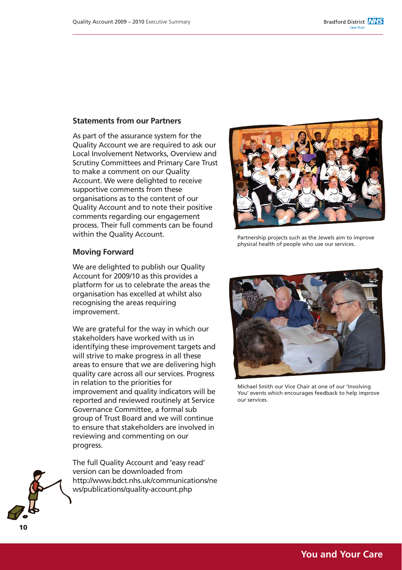### **Statements from our Partners**

As part of the assurance system for the Quality Account we are required to ask our Local Involvement Networks, Overview and Scrutiny Committees and Primary Care Trust to make a comment on our Quality Account. We were delighted to receive supportive comments from these organisations as to the content of our Quality Account and to note their positive comments regarding our engagement process. Their full comments can be found within the Quality Account.

#### **Moving Forward**

We are delighted to publish our Quality Account for 2009/10 as this provides a platform for us to celebrate the areas the organisation has excelled at whilst also recognising the areas requiring improvement.

We are grateful for the way in which our stakeholders have worked with us in identifying these improvement targets and will strive to make progress in all these areas to ensure that we are delivering high quality care across all our services. Progress in relation to the priorities for improvement and quality indicators will be reported and reviewed routinely at Service Governance Committee, a formal sub group of Trust Board and we will continue to ensure that stakeholders are involved in reviewing and commenting on our progress.

The full Quality Account and 'easy read' version can be downloaded from http://www.bdct.nhs.uk/communications/ne ws/publications/quality-account.php



Partnership projects such as the Jewels aim to improve physical health of people who use our services.



Michael Smith our Vice Chair at one of our 'Involving You' events which encourages feedback to help improve our services.